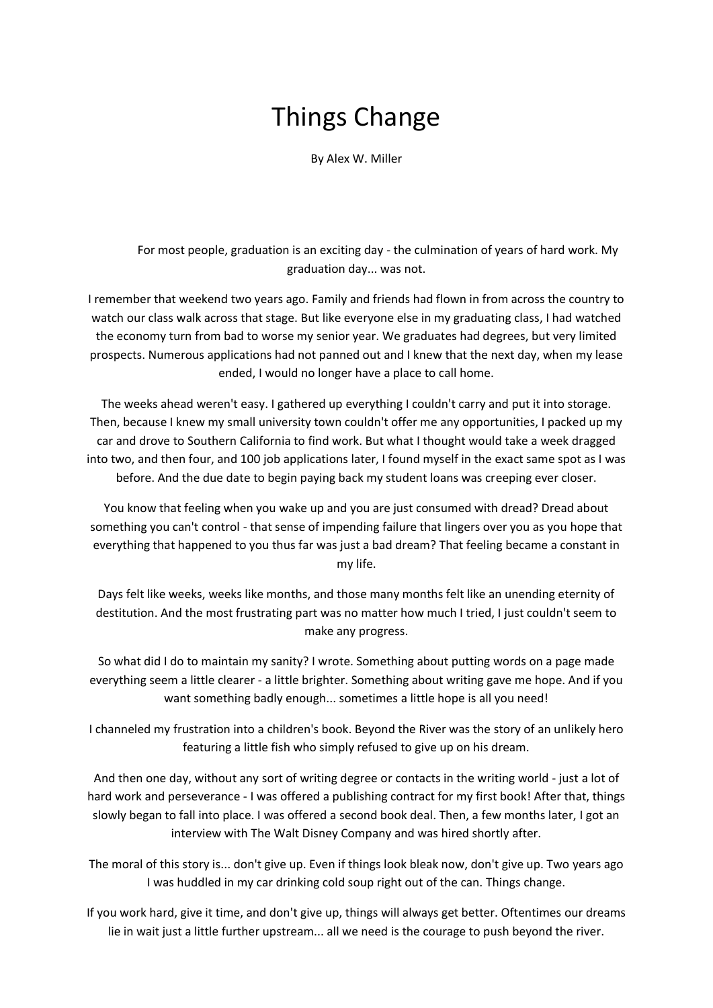## Things Change

By Alex W. Miller

For most people, graduation is an exciting day - the culmination of years of hard work. My graduation day... was not.

I remember that weekend two years ago. Family and friends had flown in from across the country to watch our class walk across that stage. But like everyone else in my graduating class, I had watched the economy turn from bad to worse my senior year. We graduates had degrees, but very limited prospects. Numerous applications had not panned out and I knew that the next day, when my lease ended, I would no longer have a place to call home.

The weeks ahead weren't easy. I gathered up everything I couldn't carry and put it into storage. Then, because I knew my small university town couldn't offer me any opportunities, I packed up my car and drove to Southern California to find work. But what I thought would take a week dragged into two, and then four, and 100 job applications later, I found myself in the exact same spot as I was before. And the due date to begin paying back my student loans was creeping ever closer.

You know that feeling when you wake up and you are just consumed with dread? Dread about something you can't control - that sense of impending failure that lingers over you as you hope that everything that happened to you thus far was just a bad dream? That feeling became a constant in my life.

Days felt like weeks, weeks like months, and those many months felt like an unending eternity of destitution. And the most frustrating part was no matter how much I tried, I just couldn't seem to make any progress.

So what did I do to maintain my sanity? I wrote. Something about putting words on a page made everything seem a little clearer - a little brighter. Something about writing gave me hope. And if you want something badly enough... sometimes a little hope is all you need!

I channeled my frustration into a children's book. Beyond the River was the story of an unlikely hero featuring a little fish who simply refused to give up on his dream.

And then one day, without any sort of writing degree or contacts in the writing world - just a lot of hard work and perseverance - I was offered a publishing contract for my first book! After that, things slowly began to fall into place. I was offered a second book deal. Then, a few months later, I got an interview with The Walt Disney Company and was hired shortly after.

The moral of this story is... don't give up. Even if things look bleak now, don't give up. Two years ago I was huddled in my car drinking cold soup right out of the can. Things change.

If you work hard, give it time, and don't give up, things will always get better. Oftentimes our dreams lie in wait just a little further upstream... all we need is the courage to push beyond the river.